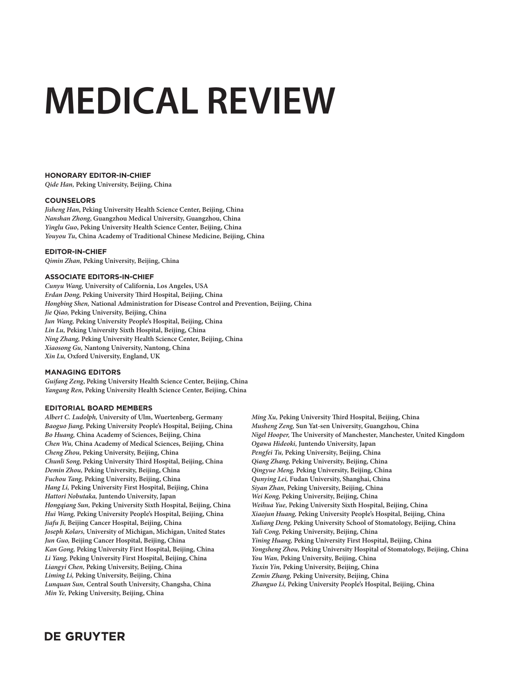# **MEDICAL REVIEW**

## **HONORARY EDITOR-IN-CHIEF**

*Qide Han,* **Peking University, Beijing, China**

## **COUNSELORS**

*Jisheng Han***, Peking University Health Science Center, Beijing, China** *Nanshan Zhong***, Guangzhou Medical University, Guangzhou, China** *Yinglu Guo***, Peking University Health Science Center, Beijing, China** *Youyou Tu***, China Academy of Traditional Chinese Medicine, Beijing, China**

## **EDITOR-IN-CHIEF**

*Qimin Zhan,* **Peking University, Beijing, China**

## **ASSOCIATE EDITORS-IN-CHIEF**

*Cunyu Wang,* **University of California, Los Angeles, USA** *Erdan Dong,* **Peking University Th ird Hospital, Beijing, China** *Hongbing Shen,* **National Administration for Disease Control and Prevention, Beijing, China** *Jie Qiao,* **Peking University, Beijing, China** *Jun Wang,* **Peking University People's Hospital, Beijing, China** *Lin Lu,* **Peking University Sixth Hospital, Beijing, China** *Ning Zhang,* **Peking University Health Science Center, Beijing, China** *Xiaosong Gu,* **Nantong University, Nantong, China** *Xin Lu,* **Oxford University, England, UK**

#### **MANAGING EDITORS**

*Guifang Zeng***, Peking University Health Science Center, Beijing, China** *Yangang Ren***, Peking University Health Science Center, Beijing, China**

## **EDITORIAL BOARD MEMBERS**

*Albert C. Ludolph,* **University of Ulm, Wuertenberg, Germany** *Baoguo Jiang,* **Peking University People's Hospital, Beijing, China** *Bo Huang,* **China Academy of Sciences, Beijing, China** *Chen Wu,* **China Academy of Medical Sciences, Beijing, China** *Cheng Zhou,* **Peking University, Beijing, China** *Chunli Song,* **Peking University Th ird Hospital, Beijing, China** *Demin Zhou,* **Peking University, Beijing, China** *Fuchou Tang,* **Peking University, Beijing, China** *Hang Li,* **Peking University First Hospital, Beijing, China** *Hattori Nobutaka,* **Juntendo University, Japan** *Hongqiang Sun,* **Peking University Sixth Hospital, Beijing, China** *Hui Wang,* **Peking University People's Hospital, Beijing, China** *Jiafu Ji,* **Beijing Cancer Hospital, Beijing, China** *Joseph Kolars,* **University of Michigan, Michigan, United States** *Jun Guo,* **Beijing Cancer Hospital, Beijing, China** *Kan Gong,* **Peking University First Hospital, Beijing, China** *Li Yang,* **Peking University First Hospital, Beijing, China** *Liangyi Chen,* **Peking University, Beijing, China** *Liming Li,* **Peking University, Beijing, China** *Lunquan Sun,* **Central South University, Changsha, China** *Min Ye,* **Peking University, Beijing, China**

*Ming Xu*, Peking University Third Hospital, Beijing, China *Musheng Zeng,* **Sun Yat-sen University, Guangzhou, China** *Nigel Hooper, The University of Manchester, Manchester, United Kingdom Ogawa Hideoki,* **Juntendo University, Japan** *Pengfei Tu,* **Peking University, Beijing, China** *Qiang Zhang,* **Peking University, Beijing, China** *Qingyue Meng,* **Peking University, Beijing, China** *Qunying Lei,* **Fudan University, Shanghai, China** *Siyan Zhan,* **Peking University, Beijing, China** *Wei Kong,* **Peking University, Beijing, China** *Weihua Yue,* **Peking University Sixth Hospital, Beijing, China** *Xiaojun Huang,* **Peking University People's Hospital, Beijing, China** *Xuliang Deng,* **Peking University School of Stomatology, Beijing, China** *Yali Cong,* **Peking University, Beijing, China** *Yining Huang,* **Peking University First Hospital, Beijing, China** *Yongsheng Zhou,* **Peking University Hospital of Stomatology, Beijing, China** *You Wan,* **Peking University, Beijing, China** *Yuxin Yin,* **Peking University, Beijing, China** *Zemin Zhang,* **Peking University, Beijing, China** *Zhanguo Li,* **Peking University People's Hospital, Beijing, China**

# **DE GRUYTER**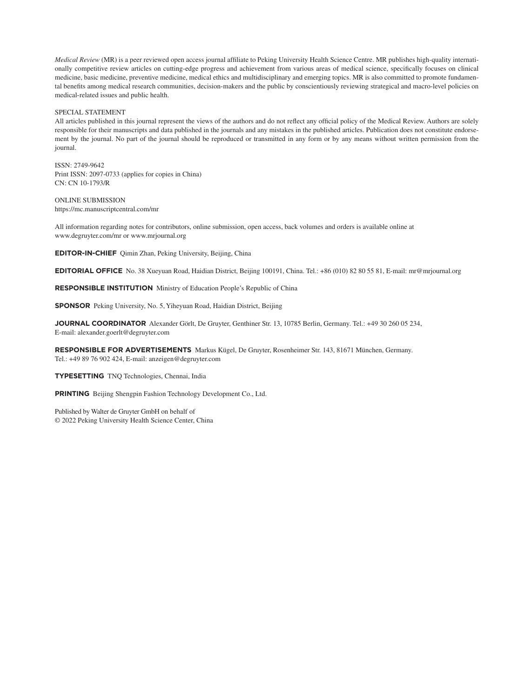*Medical Review* (MR) is a peer reviewed open access journal affiliate to Peking University Health Science Centre. MR publishes high-quality internationally competitive review articles on cutting-edge progress and achievement from various areas of medical science, specifically focuses on clinical medicine, basic medicine, preventive medicine, medical ethics and multidisciplinary and emerging topics. MR is also committed to promote fundamental benefits among medical research communities, decision-makers and the public by conscientiously reviewing strategical and macro-level policies on medical-related issues and public health.

#### SPECIAL STATEMENT

All articles published in this journal represent the views of the authors and do not reflect any official policy of the Medical Review. Authors are solely responsible for their manuscripts and data published in the journals and any mistakes in the published articles. Publication does not constitute endorsement by the journal. No part of the journal should be reproduced or transmitted in any form or by any means without written permission from the journal.

ISSN: 2749-9642 Print ISSN: 2097-0733 (applies for copies in China) CN: CN 10-1793/R

ONLINE SUBMISSION https://mc.manuscriptcentral.com/mr

All information regarding notes for contributors, online submission, open access, back volumes and orders is available online at www.degruyter.com/mr or www.mrjournal.org

**EDITOR-IN-CHIEF** Qimin Zhan, Peking University, Beijing, China

**EDITORIAL OFFICE** No. 38 Xueyuan Road, Haidian District, Beijing 100191, China. Tel.: +86 (010) 82 80 55 81, E-mail: mr@mrjournal.org

**RESPONSIBLE INSTITUTION** Ministry of Education People's Republic of China

**SPONSOR** Peking University, No. 5, Yiheyuan Road, Haidian District, Beijing

**JOURNAL COORDINATOR** Alexander Görlt, De Gruyter, Genthiner Str. 13, 10785 Berlin, Germany. Tel.: +49 30 260 05 234, E-mail: alexander.goerlt@degruyter.com

**RESPONSIBLE FOR ADVERTISEMENTS** Markus Kügel, De Gruyter, Rosenheimer Str. 143, 81671 München, Germany. Tel.: +49 89 76 902 424, E-mail: anzeigen@degruyter.com

**TYPESETTING** TNQ Technologies, Chennai, India

**PRINTING** Beijing Shengpin Fashion Technology Development Co., Ltd.

Published by Walter de Gruyter GmbH on behalf of © 2022 Peking University Health Science Center, China